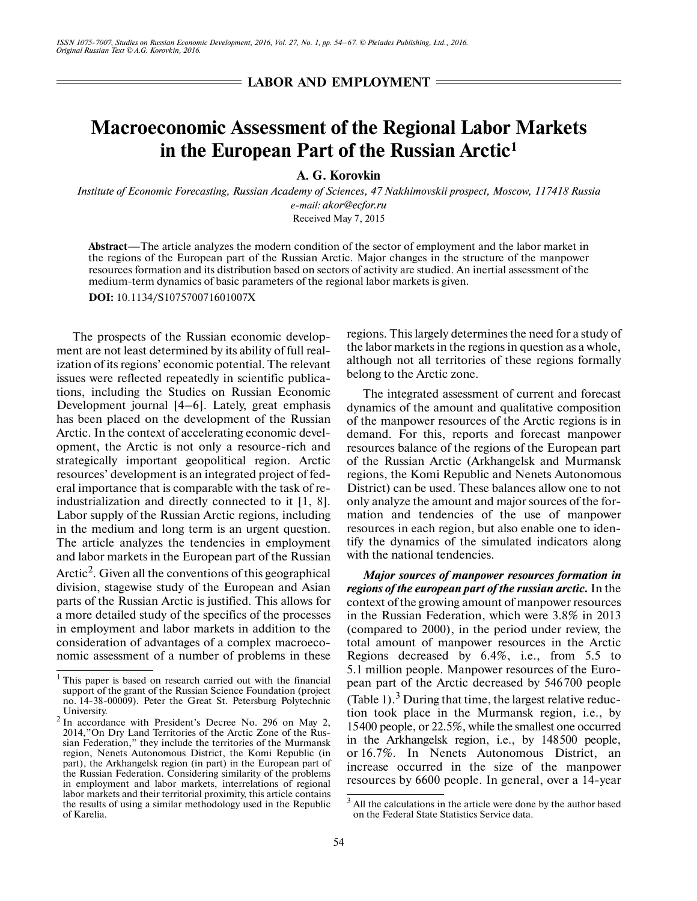**LABOR AND EMPLOYMENT** =

## **Macroeconomic Assessment of the Regional Labor Markets in the European Part of the Russian Arctic1**

**A. G. Korovkin**

*Institute of Economic Forecasting, Russian Academy of Sciences, 47 Nakhimovskii prospect, Moscow, 117418 Russia e-mail: akor@ecfor.ru*

Received May 7, 2015

**Abstract—**The article analyzes the modern condition of the sector of employment and the labor market in the regions of the European part of the Russian Arctic. Major changes in the structure of the manpower resources formation and its distribution based on sectors of activity are studied. An inertial assessment of the medium-term dynamics of basic parameters of the regional labor markets is given.

**DOI:** 10.1134/S107570071601007X

The prospects of the Russian economic development are not least determined by its ability of full real ization of its regions' economic potential. The relevant issues were reflected repeatedly in scientific publications, including the Studies on Russian Economic Development journal [4–6]. Lately, great emphasis has been placed on the development of the Russian Arctic. In the context of accelerating economic devel opment, the Arctic is not only a resource-rich and strategically important geopolitical region. Arctic resources' development is an integrated project of fed eral importance that is comparable with the task of re industrialization and directly connected to it [1, 8]. Labor supply of the Russian Arctic regions, including in the medium and long term is an urgent question. The article analyzes the tendencies in employment and labor markets in the European part of the Russian Arctic<sup>2</sup>. Given all the conventions of this geographical division, stagewise study of the European and Asian parts of the Russian Arctic is justified. This allows for a more detailed study of the specifics of the processes in employment and labor markets in addition to the consideration of advantages of a complex macroeco nomic assessment of a number of problems in these regions. This largely determines the need for a study of the labor markets in the regions in question as a whole, although not all territories of these regions formally belong to the Arctic zone.

The integrated assessment of current and forecast dynamics of the amount and qualitative composition of the manpower resources of the Arctic regions is in demand. For this, reports and forecast manpower resources balance of the regions of the European part of the Russian Arctic (Arkhangelsk and Murmansk regions, the Komi Republic and Nenets Autonomous District) can be used. These balances allow one to not only analyze the amount and major sources of the for mation and tendencies of the use of manpower resources in each region, but also enable one to iden tify the dynamics of the simulated indicators along with the national tendencies.

*Major sources of manpower resources formation in regions of the european part of the russian arctic.* In the context of the growing amount of manpower resources in the Russian Federation, which were 3.8% in 2013 (compared to 2000), in the period under review, the total amount of manpower resources in the Arctic Regions decreased by 6.4%, i.e., from 5.5 to 5.1 million people. Manpower resources of the Euro pean part of the Arctic decreased by 546700 people (Table 1). $3$  During that time, the largest relative reduction took place in the Murmansk region, i.e., by 15400 people, or 22.5%, while the smallest one occurred in the Arkhangelsk region, i.e., by 148500 people, or 16.7%. In Nenets Autonomous District, an increase occurred in the size of the manpower resources by 6600 people. In general, over a 14-year

<sup>&</sup>lt;sup>1</sup> This paper is based on research carried out with the financial support of the grant of the Russian Science Foundation (project no. 14-38-00009). Peter the Great St. Petersburg Polytechnic University.

<sup>2</sup> In accordance with President's Decree No. 296 on May 2, 2014,"On Dry Land Territories of the Arctic Zone of the Rus sian Federation," they include the territories of the Murmansk region, Nenets Autonomous District, the Komi Republic (in part), the Arkhangelsk region (in part) in the European part of the Russian Federation. Considering similarity of the problems in employment and labor markets, interrelations of regional labor markets and their territorial proximity, this article contains the results of using a similar methodology used in the Republic of Karelia.

All the calculations in the article were done by the author based on the Federal State Statistics Service data.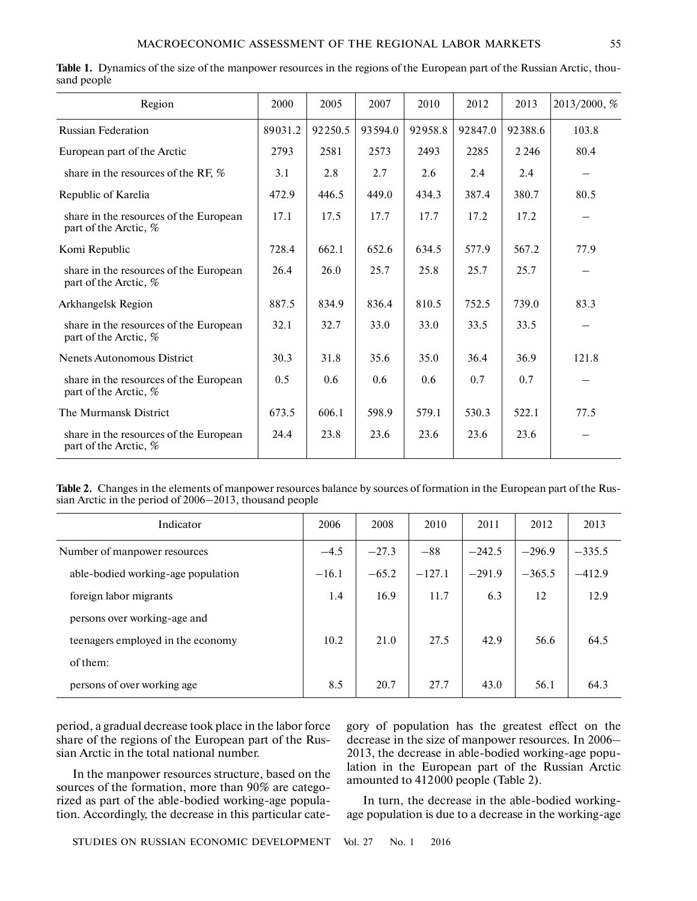| Region                                                          | 2000    | 2005    | 2007    | 2010    | 2012    | 2013    | 2013/2000, % |
|-----------------------------------------------------------------|---------|---------|---------|---------|---------|---------|--------------|
|                                                                 |         |         |         |         |         |         |              |
| <b>Russian Federation</b>                                       | 89031.2 | 92250.5 | 93594.0 | 92958.8 | 92847.0 | 92388.6 | 103.8        |
| European part of the Arctic                                     | 2793    | 2581    | 2573    | 2493    | 2285    | 2 2 4 6 | 80.4         |
| share in the resources of the RF, %                             | 3.1     | 2.8     | 2.7     | 2.6     | 2.4     | 2.4     |              |
| Republic of Karelia                                             | 472.9   | 446.5   | 449.0   | 434.3   | 387.4   | 380.7   | 80.5         |
| share in the resources of the European<br>part of the Arctic, % | 17.1    | 17.5    | 17.7    | 17.7    | 17.2    | 17.2    |              |
| Komi Republic                                                   | 728.4   | 662.1   | 652.6   | 634.5   | 577.9   | 567.2   | 77.9         |
| share in the resources of the European<br>part of the Arctic, % | 26.4    | 26.0    | 25.7    | 25.8    | 25.7    | 25.7    |              |
| Arkhangelsk Region                                              | 887.5   | 834.9   | 836.4   | 810.5   | 752.5   | 739.0   | 83.3         |
| share in the resources of the European<br>part of the Arctic, % | 32.1    | 32.7    | 33.0    | 33.0    | 33.5    | 33.5    |              |
| <b>Nenets Autonomous District</b>                               | 30.3    | 31.8    | 35.6    | 35.0    | 36.4    | 36.9    | 121.8        |
| share in the resources of the European<br>part of the Arctic, % | 0.5     | 0.6     | 0.6     | 0.6     | 0.7     | 0.7     |              |
| The Murmansk District                                           | 673.5   | 606.1   | 598.9   | 579.1   | 530.3   | 522.1   | 77.5         |
| share in the resources of the European<br>part of the Arctic, % | 24.4    | 23.8    | 23.6    | 23.6    | 23.6    | 23.6    |              |

|             | Table 1. Dynamics of the size of the manpower resources in the regions of the European part of the Russian Arctic, thou- |  |  |  |
|-------------|--------------------------------------------------------------------------------------------------------------------------|--|--|--|
| sand people |                                                                                                                          |  |  |  |

**Table 2.** Changes in the elements of manpower resources balance by sources of formation in the European part of the Rus sian Arctic in the period of 2006–2013, thousand people

| Indicator                          | 2006    | 2008    | 2010     | 2011     | 2012     | 2013     |
|------------------------------------|---------|---------|----------|----------|----------|----------|
| Number of manpower resources       | $-4.5$  | $-27.3$ | $-88$    | $-242.5$ | $-296.9$ | $-335.5$ |
| able-bodied working-age population | $-16.1$ | $-65.2$ | $-127.1$ | $-291.9$ | $-365.5$ | $-412.9$ |
| foreign labor migrants             | 1.4     | 16.9    | 11.7     | 6.3      | 12       | 12.9     |
| persons over working-age and       |         |         |          |          |          |          |
| teenagers employed in the economy  | 10.2    | 21.0    | 27.5     | 42.9     | 56.6     | 64.5     |
| of them:                           |         |         |          |          |          |          |
| persons of over working age        | 8.5     | 20.7    | 27.7     | 43.0     | 56.1     | 64.3     |

period, a gradual decrease took place in the labor force share of the regions of the European part of the Rus sian Arctic in the total national number.

In the manpower resources structure, based on the sources of the formation, more than 90% are catego rized as part of the able-bodied working-age popula tion. Accordingly, the decrease in this particular category of population has the greatest effect on the decrease in the size of manpower resources. In 2006– 2013, the decrease in able-bodied working-age popu lation in the European part of the Russian Arctic amounted to 412000 people (Table 2).

In turn, the decrease in the able-bodied working age population is due to a decrease in the working-age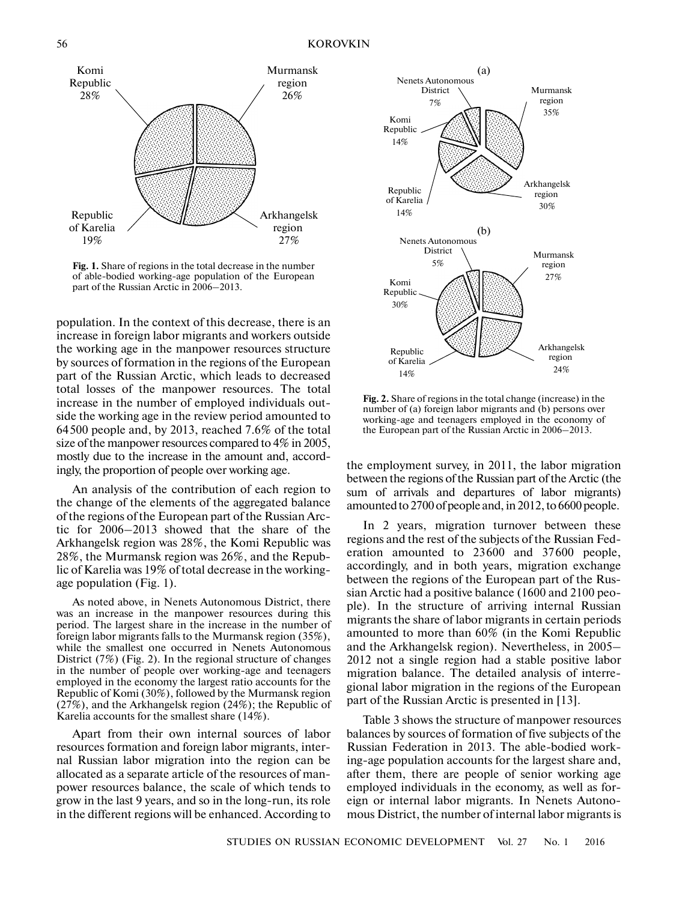

**Fig. 1.** Share of regions in the total decrease in the number of able-bodied working-age population of the European part of the Russian Arctic in 2006–2013.

population. In the context of this decrease, there is an increase in foreign labor migrants and workers outside the working age in the manpower resources structure by sources of formation in the regions of the European part of the Russian Arctic, which leads to decreased total losses of the manpower resources. The total increase in the number of employed individuals out side the working age in the review period amounted to 64500 people and, by 2013, reached 7.6% of the total size of the manpower resources compared to 4% in 2005, mostly due to the increase in the amount and, accord ingly, the proportion of people over working age.

An analysis of the contribution of each region to the change of the elements of the aggregated balance of the regions of the European part of the Russian Arc tic for 2006–2013 showed that the share of the Arkhangelsk region was 28%, the Komi Republic was 28%, the Murmansk region was 26%, and the Repub lic of Karelia was 19% of total decrease in the working age population (Fig. 1).

As noted above, in Nenets Autonomous District, there was an increase in the manpower resources during this period. The largest share in the increase in the number of foreign labor migrants falls to the Murmansk region (35%), while the smallest one occurred in Nenets Autonomous District (7%) (Fig. 2). In the regional structure of changes in the number of people over working-age and teenagers employed in the economy the largest ratio accounts for the Republic of Komi (30%), followed by the Murmansk region (27%), and the Arkhangelsk region (24%); the Republic of Karelia accounts for the smallest share (14%).

Apart from their own internal sources of labor resources formation and foreign labor migrants, inter nal Russian labor migration into the region can be allocated as a separate article of the resources of man power resources balance, the scale of which tends to grow in the last 9 years, and so in the long-run, its role in the different regions will be enhanced. According to



**Fig. 2.** Share of regions in the total change (increase) in the number of (a) foreign labor migrants and (b) persons over working-age and teenagers employed in the economy of the European part of the Russian Arctic in 2006–2013.

the employment survey, in 2011, the labor migration between the regions of the Russian part of the Arctic (the sum of arrivals and departures of labor migrants) amounted to 2700 of people and, in 2012, to 6600 people.

In 2 years, migration turnover between these regions and the rest of the subjects of the Russian Fed eration amounted to 23600 and 37600 people, accordingly, and in both years, migration exchange between the regions of the European part of the Rus sian Arctic had a positive balance (1600 and 2100 peo ple). In the structure of arriving internal Russian migrants the share of labor migrants in certain periods amounted to more than 60% (in the Komi Republic and the Arkhangelsk region). Nevertheless, in 2005– 2012 not a single region had a stable positive labor migration balance. The detailed analysis of interre gional labor migration in the regions of the European part of the Russian Arctic is presented in [13].

Table 3 shows the structure of manpower resources balances by sources of formation of five subjects of the Russian Federation in 2013. The able-bodied working-age population accounts for the largest share and, after them, there are people of senior working age employed individuals in the economy, as well as for eign or internal labor migrants. In Nenets Autono mous District, the number of internal labor migrants is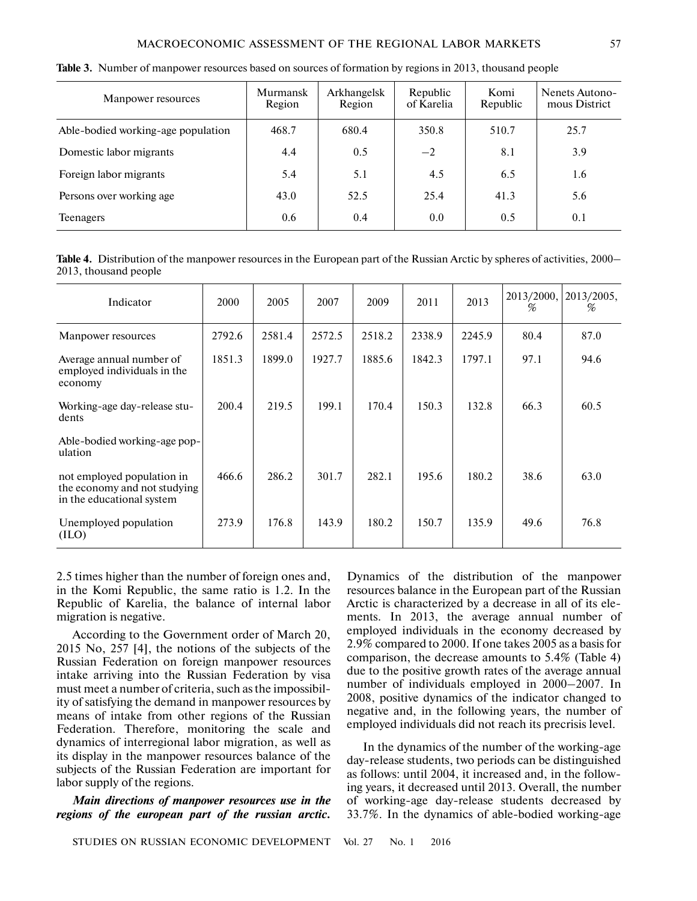| Manpower resources                 | Murmansk<br>Region | Arkhangelsk<br>Region | Republic<br>of Karelia | Komi<br>Republic | Nenets Autono-<br>mous District |
|------------------------------------|--------------------|-----------------------|------------------------|------------------|---------------------------------|
| Able-bodied working-age population | 468.7              | 680.4                 | 350.8                  | 510.7            | 25.7                            |
| Domestic labor migrants            | 4.4                | 0.5                   | $-2$                   | 8.1              | 3.9                             |
| Foreign labor migrants             | 5.4                | 5.1                   | 4.5                    | 6.5              | 1.6                             |
| Persons over working age.          | 43.0               | 52.5                  | 25.4                   | 41.3             | 5.6                             |
| <b>Teenagers</b>                   | 0.6                | 0.4                   | 0.0                    | 0.5              | 0.1                             |

| Table 3. Number of manpower resources based on sources of formation by regions in 2013, thousand people |  |  |  |
|---------------------------------------------------------------------------------------------------------|--|--|--|

**Table 4.** Distribution of the manpower resources in the European part of the Russian Arctic by spheres of activities, 2000– 2013, thousand people

| Indicator                                                                               | 2000   | 2005   | 2007   | 2009   | 2011   | 2013   | 2013/2000,<br>% | 2013/2005,<br>% |
|-----------------------------------------------------------------------------------------|--------|--------|--------|--------|--------|--------|-----------------|-----------------|
| Manpower resources                                                                      | 2792.6 | 2581.4 | 2572.5 | 2518.2 | 2338.9 | 2245.9 | 80.4            | 87.0            |
| Average annual number of<br>employed individuals in the<br>economy                      | 1851.3 | 1899.0 | 1927.7 | 1885.6 | 1842.3 | 1797.1 | 97.1            | 94.6            |
| Working-age day-release stu-<br>dents                                                   | 200.4  | 219.5  | 199.1  | 170.4  | 150.3  | 132.8  | 66.3            | 60.5            |
| Able-bodied working-age pop-<br>ulation                                                 |        |        |        |        |        |        |                 |                 |
| not employed population in<br>the economy and not studying<br>in the educational system | 466.6  | 286.2  | 301.7  | 282.1  | 195.6  | 180.2  | 38.6            | 63.0            |
| Unemployed population<br>(ILO)                                                          | 273.9  | 176.8  | 143.9  | 180.2  | 150.7  | 135.9  | 49.6            | 76.8            |

2.5 times higher than the number of foreign ones and, in the Komi Republic, the same ratio is 1.2. In the Republic of Karelia, the balance of internal labor migration is negative.

According to the Government order of March 20, 2015 No, 257 [4], the notions of the subjects of the Russian Federation on foreign manpower resources intake arriving into the Russian Federation by visa must meet a number of criteria, such as the impossibil ity of satisfying the demand in manpower resources by means of intake from other regions of the Russian Federation. Therefore, monitoring the scale and dynamics of interregional labor migration, as well as its display in the manpower resources balance of the subjects of the Russian Federation are important for labor supply of the regions.

*Main directions of manpower resources use in the regions of the european part of the russian arctic.*

Dynamics of the distribution of the manpower resources balance in the European part of the Russian Arctic is characterized by a decrease in all of its ele ments. In 2013, the average annual number of employed individuals in the economy decreased by 2.9% compared to 2000. If one takes 2005 as a basis for comparison, the decrease amounts to 5.4% (Table 4) due to the positive growth rates of the average annual number of individuals employed in 2000–2007. In 2008, positive dynamics of the indicator changed to negative and, in the following years, the number of employed individuals did not reach its precrisis level.

In the dynamics of the number of the working-age day-release students, two periods can be distinguished as follows: until 2004, it increased and, in the follow ing years, it decreased until 2013. Overall, the number of working-age day-release students decreased by 33.7%. In the dynamics of able-bodied working-age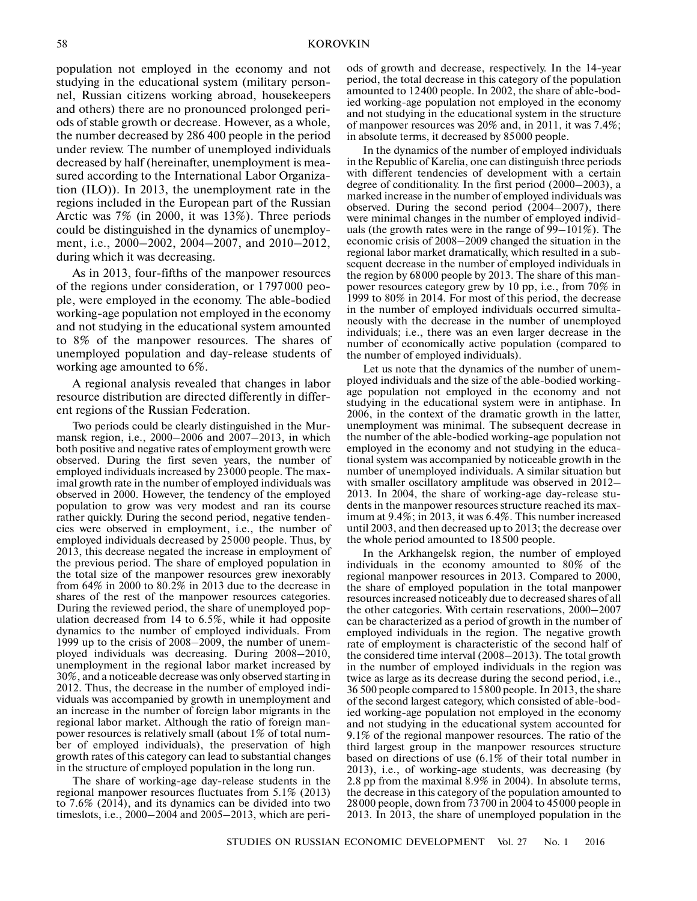population not employed in the economy and not studying in the educational system (military person nel, Russian citizens working abroad, housekeepers and others) there are no pronounced prolonged peri ods of stable growth or decrease. However, as a whole, the number decreased by 286 400 people in the period under review. The number of unemployed individuals decreased by half (hereinafter, unemployment is mea sured according to the International Labor Organiza tion (ILO)). In 2013, the unemployment rate in the regions included in the European part of the Russian Arctic was 7% (in 2000, it was 13%). Three periods could be distinguished in the dynamics of unemploy ment, i.e., 2000–2002, 2004–2007, and 2010–2012, during which it was decreasing.

As in 2013, four-fifths of the manpower resources of the regions under consideration, or 1797000 peo ple, were employed in the economy. The able-bodied working-age population not employed in the economy and not studying in the educational system amounted to 8% of the manpower resources. The shares of unemployed population and day-release students of working age amounted to 6%.

A regional analysis revealed that changes in labor resource distribution are directed differently in differ ent regions of the Russian Federation.

Two periods could be clearly distinguished in the Mur mansk region, i.e., 2000–2006 and 2007–2013, in which both positive and negative rates of employment growth were observed. During the first seven years, the number of employed individuals increased by 23000 people. The max imal growth rate in the number of employed individuals was observed in 2000. However, the tendency of the employed population to grow was very modest and ran its course rather quickly. During the second period, negative tenden cies were observed in employment, i.e., the number of employed individuals decreased by 25000 people. Thus, by 2013, this decrease negated the increase in employment of the previous period. The share of employed population in the total size of the manpower resources grew inexorably from 64% in 2000 to 80.2% in 2013 due to the decrease in shares of the rest of the manpower resources categories. During the reviewed period, the share of unemployed pop ulation decreased from 14 to 6.5%, while it had opposite dynamics to the number of employed individuals. From 1999 up to the crisis of 2008–2009, the number of unem ployed individuals was decreasing. During 2008–2010, unemployment in the regional labor market increased by 30%, and a noticeable decrease was only observed starting in 2012. Thus, the decrease in the number of employed indi viduals was accompanied by growth in unemployment and an increase in the number of foreign labor migrants in the regional labor market. Although the ratio of foreign man power resources is relatively small (about 1% of total num ber of employed individuals), the preservation of high growth rates of this category can lead to substantial changes in the structure of employed population in the long run.

The share of working-age day-release students in the regional manpower resources fluctuates from 5.1% (2013) to 7.6% (2014), and its dynamics can be divided into two timeslots, i.e., 2000–2004 and 2005–2013, which are peri-

ods of growth and decrease, respectively. In the 14-year period, the total decrease in this category of the population amounted to 12400 people. In 2002, the share of able-bod ied working-age population not employed in the economy and not studying in the educational system in the structure of manpower resources was 20% and, in 2011, it was 7.4%; in absolute terms, it decreased by 85000 people.

In the dynamics of the number of employed individuals in the Republic of Karelia, one can distinguish three periods with different tendencies of development with a certain degree of conditionality. In the first period (2000–2003), a marked increase in the number of employed individuals was observed. During the second period (2004–2007), there were minimal changes in the number of employed individ uals (the growth rates were in the range of 99–101%). The economic crisis of 2008–2009 changed the situation in the regional labor market dramatically, which resulted in a sub sequent decrease in the number of employed individuals in the region by 68000 people by 2013. The share of this man power resources category grew by 10 pp, i.e., from 70% in 1999 to 80% in 2014. For most of this period, the decrease in the number of employed individuals occurred simultaneously with the decrease in the number of unemployed individuals; i.e., there was an even larger decrease in the number of economically active population (compared to the number of employed individuals).

Let us note that the dynamics of the number of unem ployed individuals and the size of the able-bodied working age population not employed in the economy and not studying in the educational system were in antiphase. In 2006, in the context of the dramatic growth in the latter, unemployment was minimal. The subsequent decrease in the number of the able-bodied working-age population not employed in the economy and not studying in the educa tional system was accompanied by noticeable growth in the number of unemployed individuals. A similar situation but with smaller oscillatory amplitude was observed in 2012– 2013. In 2004, the share of working-age day-release stu dents in the manpower resources structure reached its max imum at 9.4%; in 2013, it was 6.4%. This number increased until 2003, and then decreased up to 2013; the decrease over the whole period amounted to 18500 people.

In the Arkhangelsk region, the number of employed individuals in the economy amounted to 80% of the regional manpower resources in 2013. Compared to 2000, the share of employed population in the total manpower resources increased noticeably due to decreased shares of all the other categories. With certain reservations, 2000–2007 can be characterized as a period of growth in the number of employed individuals in the region. The negative growth rate of employment is characteristic of the second half of the considered time interval (2008–2013). The total growth in the number of employed individuals in the region was twice as large as its decrease during the second period, i.e., 36 500 people compared to 15800 people. In 2013, the share of the second largest category, which consisted of able-bod ied working-age population not employed in the economy and not studying in the educational system accounted for 9.1% of the regional manpower resources. The ratio of the third largest group in the manpower resources structure based on directions of use (6.1% of their total number in 2013), i.e., of working-age students, was decreasing (by 2.8 pp from the maximal 8.9% in 2004). In absolute terms, the decrease in this category of the population amounted to 28000 people, down from 73700 in 2004 to 45000 people in 2013. In 2013, the share of unemployed population in the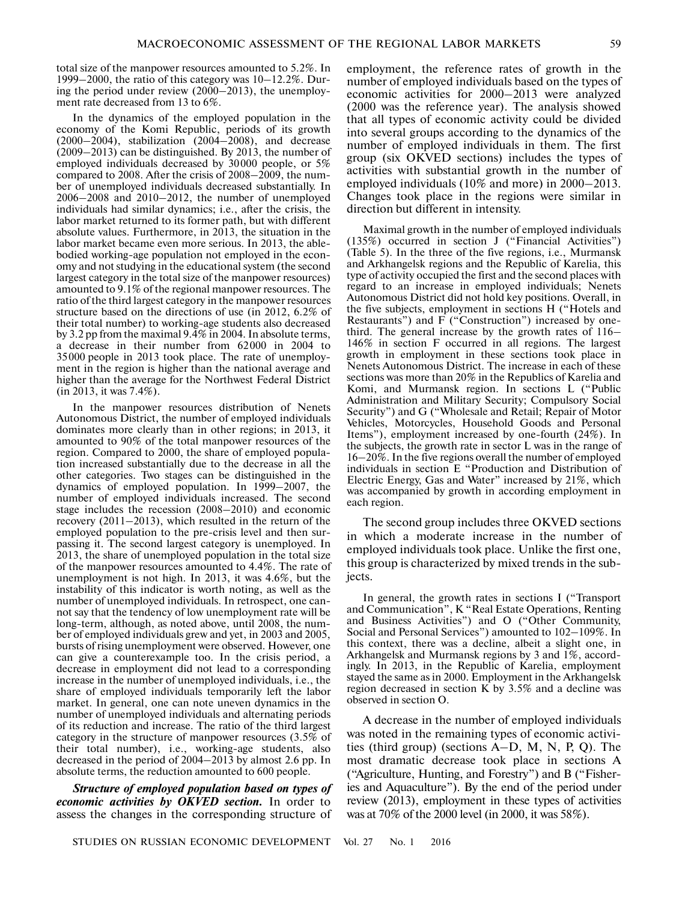total size of the manpower resources amounted to 5.2%. In 1999–2000, the ratio of this category was 10–12.2%. Dur ing the period under review (2000–2013), the unemploy ment rate decreased from 13 to 6%.

In the dynamics of the employed population in the economy of the Komi Republic, periods of its growth (2000–2004), stabilization (2004–2008), and decrease (2009–2013) can be distinguished. By 2013, the number of employed individuals decreased by 30000 people, or 5% compared to 2008. After the crisis of 2008–2009, the num ber of unemployed individuals decreased substantially. In 2006–2008 and 2010–2012, the number of unemployed individuals had similar dynamics; i.e., after the crisis, the labor market returned to its former path, but with different absolute values. Furthermore, in 2013, the situation in the labor market became even more serious. In 2013, the able bodied working-age population not employed in the econ omy and not studying in the educational system (the second largest category in the total size of the manpower resources) amounted to 9.1% of the regional manpower resources. The ratio of the third largest category in the manpower resources structure based on the directions of use (in 2012, 6.2% of their total number) to working-age students also decreased by 3.2 pp from the maximal 9.4% in 2004. In absolute terms, a decrease in their number from 62000 in 2004 to 35000 people in 2013 took place. The rate of unemploy ment in the region is higher than the national average and higher than the average for the Northwest Federal District (in 2013, it was 7.4%).

In the manpower resources distribution of Nenets Autonomous District, the number of employed individuals dominates more clearly than in other regions; in 2013, it amounted to 90% of the total manpower resources of the region. Compared to 2000, the share of employed popula tion increased substantially due to the decrease in all the other categories. Two stages can be distinguished in the dynamics of employed population. In 1999–2007, the number of employed individuals increased. The second stage includes the recession (2008–2010) and economic recovery (2011–2013), which resulted in the return of the employed population to the pre-crisis level and then sur passing it. The second largest category is unemployed. In 2013, the share of unemployed population in the total size of the manpower resources amounted to 4.4%. The rate of unemployment is not high. In 2013, it was 4.6%, but the instability of this indicator is worth noting, as well as the number of unemployed individuals. In retrospect, one can not say that the tendency of low unemployment rate will be long-term, although, as noted above, until 2008, the num ber of employed individuals grew and yet, in 2003 and 2005, bursts of rising unemployment were observed. However, one can give a counterexample too. In the crisis period, a decrease in employment did not lead to a corresponding increase in the number of unemployed individuals, i.e., the share of employed individuals temporarily left the labor market. In general, one can note uneven dynamics in the number of unemployed individuals and alternating periods of its reduction and increase. The ratio of the third largest category in the structure of manpower resources (3.5% of their total number), i.e., working-age students, also decreased in the period of 2004–2013 by almost 2.6 pp. In absolute terms, the reduction amounted to 600 people.

*Structure of employed population based on types of economic activities by OKVED section.* In order to assess the changes in the corresponding structure of

employment, the reference rates of growth in the number of employed individuals based on the types of economic activities for 2000–2013 were analyzed (2000 was the reference year). The analysis showed that all types of economic activity could be divided into several groups according to the dynamics of the number of employed individuals in them. The first group (six OKVED sections) includes the types of activities with substantial growth in the number of employed individuals (10% and more) in 2000–2013. Changes took place in the regions were similar in direction but different in intensity.

Maximal growth in the number of employed individuals (135%) occurred in section J ("Financial Activities") (Table 5). In the three of the five regions, i.e., Murmansk and Arkhangelsk regions and the Republic of Karelia, this type of activity occupied the first and the second places with regard to an increase in employed individuals; Nenets Autonomous District did not hold key positions. Overall, in the five subjects, employment in sections H ("Hotels and Restaurants") and F ("Construction") increased by one third. The general increase by the growth rates of 116– 146% in section F occurred in all regions. The largest growth in employment in these sections took place in Nenets Autonomous District. The increase in each of these sections was more than 20% in the Republics of Karelia and Komi, and Murmansk region. In sections L ("Public Administration and Military Security; Compulsory Social Security") and G ("Wholesale and Retail; Repair of Motor Vehicles, Motorcycles, Household Goods and Personal Items"), employment increased by one-fourth (24%). In the subjects, the growth rate in sector L was in the range of 16–20%. In the five regions overall the number of employed individuals in section E "Production and Distribution of Electric Energy, Gas and Water" increased by 21%, which was accompanied by growth in according employment in each region.

The second group includes three OKVED sections in which a moderate increase in the number of employed individuals took place. Unlike the first one, this group is characterized by mixed trends in the sub jects.

In general, the growth rates in sections I ("Transport and Communication", K "Real Estate Operations, Renting and Business Activities") and O ("Other Community, Social and Personal Services") amounted to 102–109%. In this context, there was a decline, albeit a slight one, in Arkhangelsk and Murmansk regions by 3 and 1%, accord ingly. In 2013, in the Republic of Karelia, employment stayed the same as in 2000. Employment in the Arkhangelsk region decreased in section K by 3.5% and a decline was observed in section O.

A decrease in the number of employed individuals was noted in the remaining types of economic activi ties (third group) (sections A–D, M, N, P, Q). The most dramatic decrease took place in sections А ("Agriculture, Hunting, and Forestry") and В ("Fisher ies and Aquaculture"). By the end of the period under review (2013), employment in these types of activities was at 70% of the 2000 level (in 2000, it was 58%).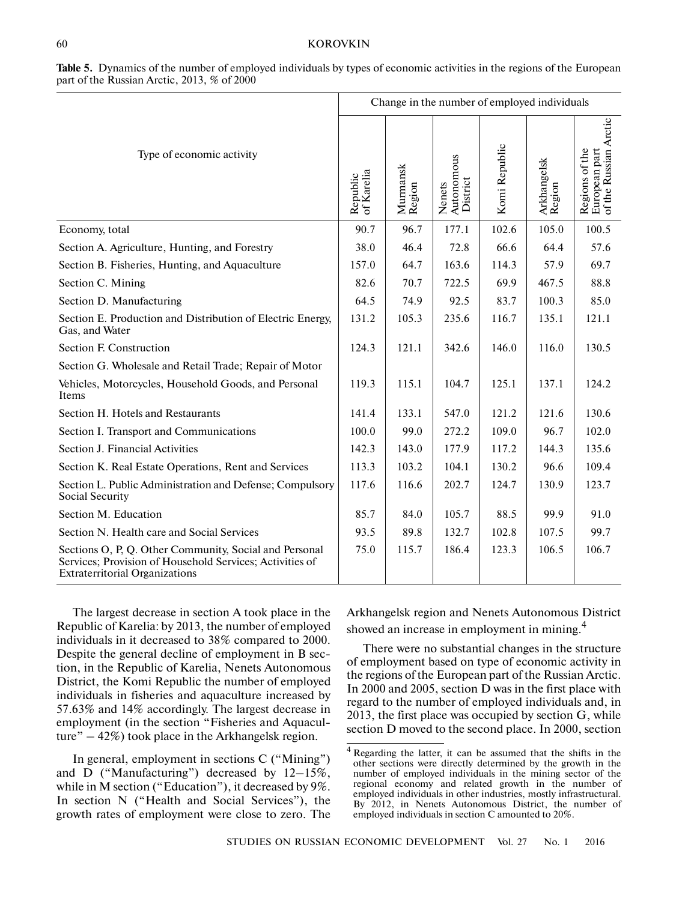|                                                                                                                                                             |                        |                    | Change in the number of employed individuals |               |                       |                                                          |
|-------------------------------------------------------------------------------------------------------------------------------------------------------------|------------------------|--------------------|----------------------------------------------|---------------|-----------------------|----------------------------------------------------------|
| Type of economic activity                                                                                                                                   | of Karelia<br>Republic | Murmansk<br>Region | Autonomous<br>District<br>Nenets             | Komi Republic | Arkhangelsk<br>Region | Regions of the<br>European part<br>of the Russian Arctic |
| Economy, total                                                                                                                                              | 90.7                   | 96.7               | 177.1                                        | 102.6         | 105.0                 | 100.5                                                    |
| Section A. Agriculture, Hunting, and Forestry                                                                                                               | 38.0                   | 46.4               | 72.8                                         | 66.6          | 64.4                  | 57.6                                                     |
| Section B. Fisheries, Hunting, and Aquaculture                                                                                                              | 157.0                  | 64.7               | 163.6                                        | 114.3         | 57.9                  | 69.7                                                     |
| Section C. Mining                                                                                                                                           | 82.6                   | 70.7               | 722.5                                        | 69.9          | 467.5                 | 88.8                                                     |
| Section D. Manufacturing                                                                                                                                    | 64.5                   | 74.9               | 92.5                                         | 83.7          | 100.3                 | 85.0                                                     |
| Section E. Production and Distribution of Electric Energy,<br>Gas, and Water                                                                                | 131.2                  | 105.3              | 235.6                                        | 116.7         | 135.1                 | 121.1                                                    |
| Section F. Construction                                                                                                                                     | 124.3                  | 121.1              | 342.6                                        | 146.0         | 116.0                 | 130.5                                                    |
| Section G. Wholesale and Retail Trade; Repair of Motor                                                                                                      |                        |                    |                                              |               |                       |                                                          |
| Vehicles, Motorcycles, Household Goods, and Personal<br>Items                                                                                               | 119.3                  | 115.1              | 104.7                                        | 125.1         | 137.1                 | 124.2                                                    |
| Section H. Hotels and Restaurants                                                                                                                           | 141.4                  | 133.1              | 547.0                                        | 121.2         | 121.6                 | 130.6                                                    |
| Section I. Transport and Communications                                                                                                                     | 100.0                  | 99.0               | 272.2                                        | 109.0         | 96.7                  | 102.0                                                    |
| Section J. Financial Activities                                                                                                                             | 142.3                  | 143.0              | 177.9                                        | 117.2         | 144.3                 | 135.6                                                    |
| Section K. Real Estate Operations, Rent and Services                                                                                                        | 113.3                  | 103.2              | 104.1                                        | 130.2         | 96.6                  | 109.4                                                    |
| Section L. Public Administration and Defense; Compulsory<br>Social Security                                                                                 | 117.6                  | 116.6              | 202.7                                        | 124.7         | 130.9                 | 123.7                                                    |
| Section M. Education                                                                                                                                        | 85.7                   | 84.0               | 105.7                                        | 88.5          | 99.9                  | 91.0                                                     |
| Section N. Health care and Social Services                                                                                                                  | 93.5                   | 89.8               | 132.7                                        | 102.8         | 107.5                 | 99.7                                                     |
| Sections O, P, Q. Other Community, Social and Personal<br>Services; Provision of Household Services; Activities of<br><b>Extraterritorial Organizations</b> | 75.0                   | 115.7              | 186.4                                        | 123.3         | 106.5                 | 106.7                                                    |

**Table 5.** Dynamics of the number of employed individuals by types of economic activities in the regions of the European part of the Russian Arctic, 2013, % of 2000

The largest decrease in section A took place in the Republic of Karelia: by 2013, the number of employed individuals in it decreased to 38% compared to 2000. Despite the general decline of employment in B sec tion, in the Republic of Karelia, Nenets Autonomous District, the Komi Republic the number of employed individuals in fisheries and aquaculture increased by 57.63% and 14% accordingly. The largest decrease in employment (in the section "Fisheries and Aquacul ture" – 42%) took place in the Arkhangelsk region.

In general, employment in sections C ("Mining") and D ("Manufacturing") decreased by 12–15%, while in M section ("Education"), it decreased by 9%. In section N ("Health and Social Services"), the growth rates of employment were close to zero. The Arkhangelsk region and Nenets Autonomous District showed an increase in employment in mining.<sup>4</sup>

There were no substantial changes in the structure of employment based on type of economic activity in the regions of the European part of the Russian Arctic. In 2000 and 2005, section D was in the first place with regard to the number of employed individuals and, in 2013, the first place was occupied by section G, while section D moved to the second place. In 2000, section

Regarding the latter, it can be assumed that the shifts in the other sections were directly determined by the growth in the number of employed individuals in the mining sector of the regional economy and related growth in the number of employed individuals in other industries, mostly infrastructural. By 2012, in Nenets Autonomous District, the number of employed individuals in section C amounted to 20%.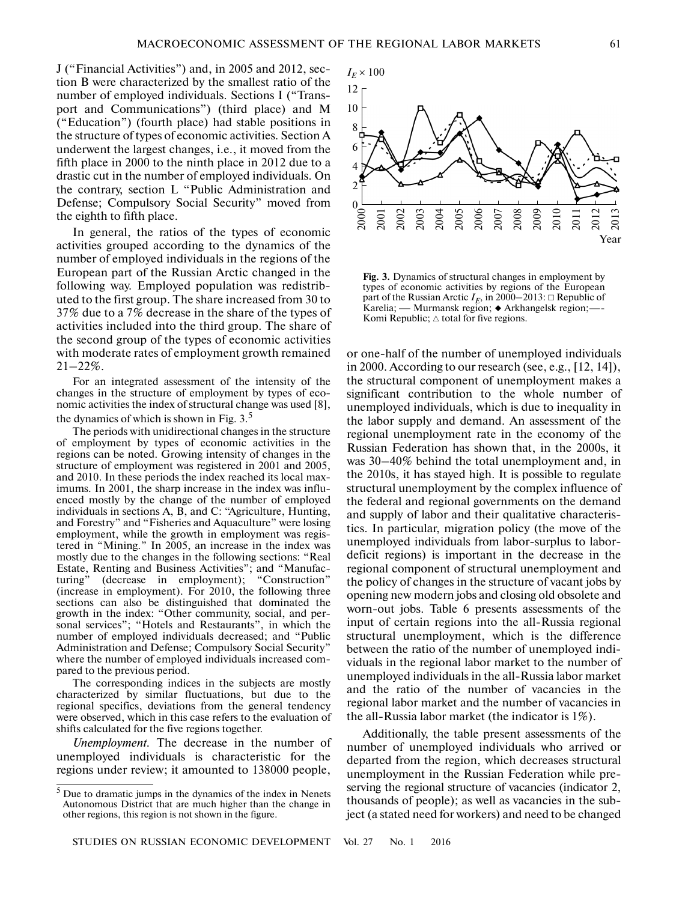J ("Financial Activities") and, in 2005 and 2012, sec tion B were characterized by the smallest ratio of the number of employed individuals. Sections I ("Trans port and Communications") (third place) and M ("Education") (fourth place) had stable positions in the structure of types of economic activities. Section A underwent the largest changes, i.e., it moved from the fifth place in 2000 to the ninth place in 2012 due to a drastic cut in the number of employed individuals. On the contrary, section L "Public Administration and Defense; Compulsory Social Security" moved from the eighth to fifth place.

In general, the ratios of the types of economic activities grouped according to the dynamics of the number of employed individuals in the regions of the European part of the Russian Arctic changed in the following way. Employed population was redistrib uted to the first group. The share increased from 30 to 37% due to a 7% decrease in the share of the types of activities included into the third group. The share of the second group of the types of economic activities with moderate rates of employment growth remained  $21 - 22\%$ .

For an integrated assessment of the intensity of the changes in the structure of employment by types of eco nomic activities the index of structural change was used [8], the dynamics of which is shown in Fig.  $3<sup>5</sup>$ 

The periods with unidirectional changes in the structure of employment by types of economic activities in the regions can be noted. Growing intensity of changes in the structure of employment was registered in 2001 and 2005, and 2010. In these periods the index reached its local max imums. In 2001, the sharp increase in the index was influ enced mostly by the change of the number of employed individuals in sections A, B, and C: "Agriculture, Hunting, and Forestry" and "Fisheries and Aquaculture" were losing employment, while the growth in employment was regis tered in "Mining." In 2005, an increase in the index was mostly due to the changes in the following sections: "Real Estate, Renting and Business Activities"; and "Manufac turing" (decrease in employment); "Construction" (increase in employment). For 2010, the following three sections can also be distinguished that dominated the growth in the index: "Other community, social, and per sonal services"; "Hotels and Restaurants", in which the number of employed individuals decreased; and "Public Administration and Defense; Compulsory Social Security" where the number of employed individuals increased com pared to the previous period.

The corresponding indices in the subjects are mostly characterized by similar fluctuations, but due to the regional specifics, deviations from the general tendency were observed, which in this case refers to the evaluation of shifts calculated for the five regions together.

*Unemployment.* The decrease in the number of unemployed individuals is characteristic for the regions under review; it amounted to 138000 people,

12 10 8 6 4  $\overline{\mathcal{L}}$  $^{0}$ <sub>2000</sub> 2001 2003 2004 2005 2007 2008 2009 2011 201  $I_E \times 100$ 2002 2006 2010 20<sub>1</sub> Year

**Fig. 3.** Dynamics of structural changes in employment by types of economic activities by regions of the European part of the Russian Arctic  $I_E$ , in 2000–2013:  $\Box$  Republic of **Fig. 3.** Dynamics of structural changes in employment by types of economic activities by regions of the European part of the Russian Arctic  $I_E$ , in 2000–2013:  $\Box$  Republic of Karelia; — Murmansk region;  $\blacklozenge$  Arkhang Karelia; — Murmansk region; ◆ Arkhangelsk region; —-Komi Republic;  $\triangle$  total for five regions.

or one-half of the number of unemployed individuals in 2000. According to our research (see, e.g., [12, 14]), the structural component of unemployment makes a significant contribution to the whole number of unemployed individuals, which is due to inequality in the labor supply and demand. An assessment of the regional unemployment rate in the economy of the Russian Federation has shown that, in the 2000s, it was 30–40% behind the total unemployment and, in the 2010s, it has stayed high. It is possible to regulate structural unemployment by the complex influence of the federal and regional governments on the demand and supply of labor and their qualitative characteris tics. In particular, migration policy (the move of the unemployed individuals from labor-surplus to labor deficit regions) is important in the decrease in the regional component of structural unemployment and the policy of changes in the structure of vacant jobs by opening new modern jobs and closing old obsolete and worn-out jobs. Table 6 presents assessments of the input of certain regions into the all-Russia regional structural unemployment, which is the difference between the ratio of the number of unemployed indi viduals in the regional labor market to the number of unemployed individuals in the all-Russia labor market and the ratio of the number of vacancies in the regional labor market and the number of vacancies in the all-Russia labor market (the indicator is 1%).

Additionally, the table present assessments of the number of unemployed individuals who arrived or departed from the region, which decreases structural unemployment in the Russian Federation while pre serving the regional structure of vacancies (indicator 2, thousands of people); as well as vacancies in the sub ject (a stated need for workers) and need to be changed

<sup>5</sup> Due to dramatic jumps in the dynamics of the index in Nenets Autonomous District that are much higher than the change in other regions, this region is not shown in the figure.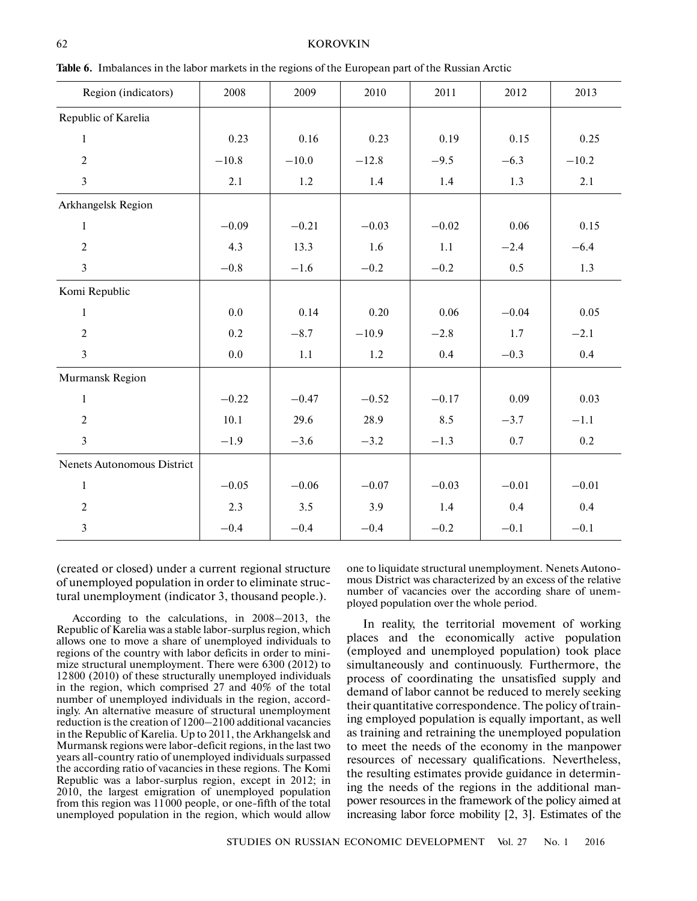## KOROVKIN

| Region (indicators)        | 2008     | 2009    | 2010    | 2011    | 2012    | 2013    |
|----------------------------|----------|---------|---------|---------|---------|---------|
| Republic of Karelia        |          |         |         |         |         |         |
| $\mathbf{1}$               | 0.23     | 0.16    | 0.23    | 0.19    | 0.15    | 0.25    |
| $\overline{2}$             | $-10.8$  | $-10.0$ | $-12.8$ | $-9.5$  | $-6.3$  | $-10.2$ |
| $\overline{3}$             | 2.1      | 1.2     | 1.4     | 1.4     | 1.3     | 2.1     |
| Arkhangelsk Region         |          |         |         |         |         |         |
| $\mathbf{1}$               | $-0.09$  | $-0.21$ | $-0.03$ | $-0.02$ | 0.06    | 0.15    |
| $\overline{2}$             | 4.3      | 13.3    | 1.6     | 1.1     | $-2.4$  | $-6.4$  |
| $\overline{3}$             | $-0.8$   | $-1.6$  | $-0.2$  | $-0.2$  | 0.5     | 1.3     |
| Komi Republic              |          |         |         |         |         |         |
| $\,1$                      | 0.0      | 0.14    | 0.20    | 0.06    | $-0.04$ | 0.05    |
| $\overline{2}$             | 0.2      | $-8.7$  | $-10.9$ | $-2.8$  | 1.7     | $-2.1$  |
| $\overline{3}$             | 0.0      | 1.1     | 1.2     | 0.4     | $-0.3$  | 0.4     |
| Murmansk Region            |          |         |         |         |         |         |
| $\mathbf{1}$               | $-0.22$  | $-0.47$ | $-0.52$ | $-0.17$ | 0.09    | 0.03    |
| $\overline{2}$             | $10.1\,$ | 29.6    | 28.9    | 8.5     | $-3.7$  | $-1.1$  |
| $\overline{3}$             | $-1.9$   | $-3.6$  | $-3.2$  | $-1.3$  | 0.7     | $0.2\,$ |
| Nenets Autonomous District |          |         |         |         |         |         |
| $\mathbf 1$                | $-0.05$  | $-0.06$ | $-0.07$ | $-0.03$ | $-0.01$ | $-0.01$ |
| $\sqrt{2}$                 | 2.3      | 3.5     | 3.9     | 1.4     | 0.4     | 0.4     |
| $\mathfrak{Z}$             | $-0.4$   | $-0.4$  | $-0.4$  | $-0.2$  | $-0.1$  | $-0.1$  |

**Table 6.** Imbalances in the labor markets in the regions of the European part of the Russian Arctic

(created or closed) under a current regional structure of unemployed population in order to eliminate struc tural unemployment (indicator 3, thousand people.).

According to the calculations, in 2008–2013, the Republic of Karelia was a stable labor-surplus region, which allows one to move a share of unemployed individuals to regions of the country with labor deficits in order to mini mize structural unemployment. There were 6300 (2012) to 12800 (2010) of these structurally unemployed individuals in the region, which comprised 27 and 40% of the total number of unemployed individuals in the region, accord ingly. An alternative measure of structural unemployment reduction is the creation of 1200–2100 additional vacancies in the Republic of Karelia. Up to 2011, the Arkhangelsk and Murmansk regions were labor-deficit regions, in the last two years all-country ratio of unemployed individuals surpassed the according ratio of vacancies in these regions. The Komi Republic was a labor-surplus region, except in 2012; in 2010, the largest emigration of unemployed population from this region was 11000 people, or one-fifth of the total unemployed population in the region, which would allow

one to liquidate structural unemployment. Nenets Autono mous District was characterized by an excess of the relative number of vacancies over the according share of unem ployed population over the whole period.

In reality, the territorial movement of working places and the economically active population (employed and unemployed population) took place simultaneously and continuously. Furthermore, the process of coordinating the unsatisfied supply and demand of labor cannot be reduced to merely seeking their quantitative correspondence. The policy of train ing employed population is equally important, as well as training and retraining the unemployed population to meet the needs of the economy in the manpower resources of necessary qualifications. Nevertheless, the resulting estimates provide guidance in determin ing the needs of the regions in the additional man power resources in the framework of the policy aimed at increasing labor force mobility [2, 3]. Estimates of the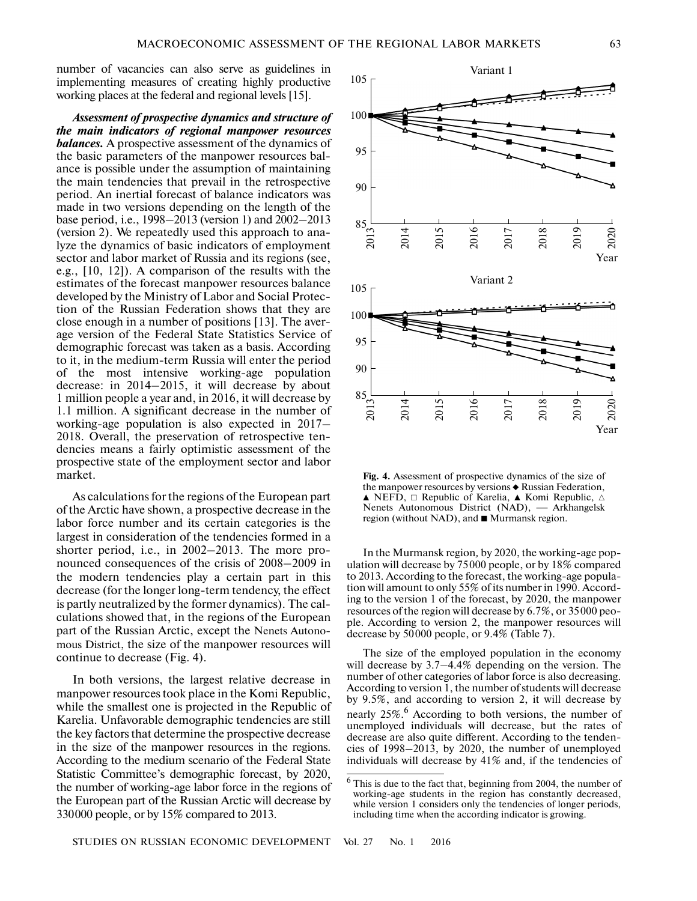number of vacancies can also serve as guidelines in implementing measures of creating highly productive working places at the federal and regional levels [15].

*Assessment of prospective dynamics and structure of the main indicators of regional manpower resources balances.* A prospective assessment of the dynamics of the basic parameters of the manpower resources bal ance is possible under the assumption of maintaining the main tendencies that prevail in the retrospective period. An inertial forecast of balance indicators was made in two versions depending on the length of the base period, i.e., 1998–2013 (version 1) and 2002–2013 (version 2). We repeatedly used this approach to ana lyze the dynamics of basic indicators of employment sector and labor market of Russia and its regions (see, e.g., [10, 12]). A comparison of the results with the estimates of the forecast manpower resources balance developed by the Ministry of Labor and Social Protec tion of the Russian Federation shows that they are close enough in a number of positions [13]. The aver age version of the Federal State Statistics Service of demographic forecast was taken as a basis. According to it, in the medium-term Russia will enter the period of the most intensive working-age population decrease: in 2014–2015, it will decrease by about 1 million people a year and, in 2016, it will decrease by 1.1 million. A significant decrease in the number of working-age population is also expected in 2017– 2018. Overall, the preservation of retrospective ten dencies means a fairly optimistic assessment of the prospective state of the employment sector and labor market.

As calculations for the regions of the European part of the Arctic have shown, a prospective decrease in the labor force number and its certain categories is the largest in consideration of the tendencies formed in a shorter period, i.e., in 2002–2013. The more pro nounced consequences of the crisis of 2008–2009 in the modern tendencies play a certain part in this decrease (for the longer long-term tendency, the effect is partly neutralized by the former dynamics). The cal culations showed that, in the regions of the European part of the Russian Arctic, except the Nenets Autono mous District, the size of the manpower resources will continue to decrease (Fig. 4).

In both versions, the largest relative decrease in manpower resources took place in the Komi Republic, while the smallest one is projected in the Republic of Karelia. Unfavorable demographic tendencies are still the key factors that determine the prospective decrease in the size of the manpower resources in the regions. According to the medium scenario of the Federal State Statistic Committee's demographic forecast, by 2020, the number of working-age labor force in the regions of the European part of the Russian Arctic will decrease by 330000 people, or by 15% compared to 2013.



**Fig. 4.** Assessment of prospective dynamics of the size of the manpower resources by versions  $\blacklozenge$  Russian Federation,  $\blacktriangle$  NEFD,  $\square$  Republic of Karelia,  $\blacktriangle$  Komi Republic,  $\triangle$ **Fig. 4.** Assessment of prospective dynamics of the size of the manpower resources by versions  $\bullet$  Russian Federation,  $\blacktriangle$  NEFD,  $\Box$  Republic of Karelia,  $\blacktriangle$  Komi Republic,  $\triangle$  Nenets Autonomous District (NAD), — A region (without NAD), and  $\blacksquare$  Murmansk region.

In the Murmansk region*,* by 2020, the working-age pop ulation will decrease by 75000 people, or by 18% compared to 2013. According to the forecast, the working-age popula tion will amount to only 55% of its number in 1990. Accord ing to the version 1 of the forecast, by 2020, the manpower resources of the region will decrease by 6.7%, or 35000 peo ple. According to version 2, the manpower resources will decrease by 50000 people, or 9.4% (Table 7).

The size of the employed population in the economy will decrease by 3.7–4.4% depending on the version. The number of other categories of labor force is also decreasing. According to version 1, the number of students will decrease by 9.5%, and according to version 2, it will decrease by nearly 25%.<sup>6</sup> According to both versions, the number of unemployed individuals will decrease, but the rates of decrease are also quite different. According to the tenden cies of 1998–2013, by 2020, the number of unemployed individuals will decrease by 41% and, if the tendencies of

 $6$  This is due to the fact that, beginning from 2004, the number of working-age students in the region has constantly decreased, while version 1 considers only the tendencies of longer periods, including time when the according indicator is growing.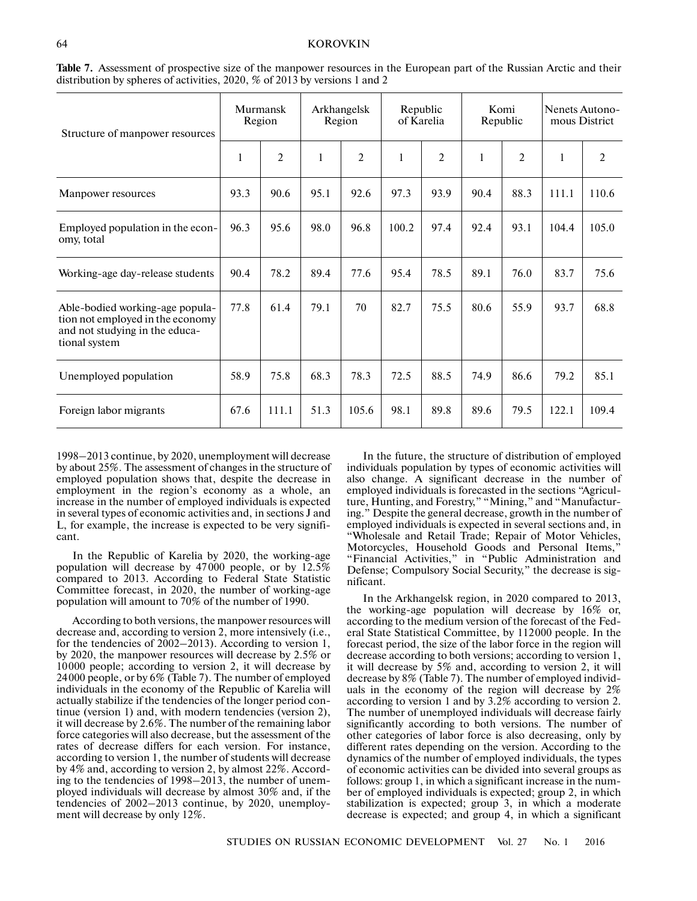## KOROVKIN

| Structure of manpower resources                                                                                        | Murmansk<br>Region |                | Arkhangelsk<br>Region |                | Republic<br>of Karelia |                | Komi<br>Republic |                | Nenets Autono-<br>mous District |       |
|------------------------------------------------------------------------------------------------------------------------|--------------------|----------------|-----------------------|----------------|------------------------|----------------|------------------|----------------|---------------------------------|-------|
|                                                                                                                        | 1                  | $\overline{2}$ | 1                     | $\overline{c}$ | 1                      | $\overline{2}$ | 1                | $\overline{2}$ | $\mathbf{1}$                    | 2     |
| Manpower resources                                                                                                     | 93.3               | 90.6           | 95.1                  | 92.6           | 97.3                   | 93.9           | 90.4             | 88.3           | 111.1                           | 110.6 |
| Employed population in the econ-<br>omy, total                                                                         | 96.3               | 95.6           | 98.0                  | 96.8           | 100.2                  | 97.4           | 92.4             | 93.1           | 104.4                           | 105.0 |
| Working-age day-release students                                                                                       | 90.4               | 78.2           | 89.4                  | 77.6           | 95.4                   | 78.5           | 89.1             | 76.0           | 83.7                            | 75.6  |
| Able-bodied working-age popula-<br>tion not employed in the economy<br>and not studying in the educa-<br>tional system | 77.8               | 61.4           | 79.1                  | 70             | 82.7                   | 75.5           | 80.6             | 55.9           | 93.7                            | 68.8  |
| Unemployed population                                                                                                  | 58.9               | 75.8           | 68.3                  | 78.3           | 72.5                   | 88.5           | 74.9             | 86.6           | 79.2                            | 85.1  |
| Foreign labor migrants                                                                                                 | 67.6               | 111.1          | 51.3                  | 105.6          | 98.1                   | 89.8           | 89.6             | 79.5           | 122.1                           | 109.4 |

**Table 7.** Assessment of prospective size of the manpower resources in the European part of the Russian Arctic and their distribution by spheres of activities, 2020, % of 2013 by versions 1 and 2

1998–2013 continue, by 2020, unemployment will decrease by about 25%. The assessment of changes in the structure of employed population shows that, despite the decrease in employment in the region's economy as a whole, an increase in the number of employed individuals is expected in several types of economic activities and, in sections J and L, for example, the increase is expected to be very signifi cant.

In the Republic of Karelia by 2020, the working-age population will decrease by 47000 people, or by 12.5% compared to 2013. According to Federal State Statistic Committee forecast, in 2020, the number of working-age population will amount to 70% of the number of 1990.

According to both versions, the manpower resources will decrease and, according to version 2, more intensively (i.e., for the tendencies of 2002–2013). According to version 1, by 2020, the manpower resources will decrease by 2.5% or 10000 people; according to version 2, it will decrease by 24000 people, or by 6% (Table 7). The number of employed individuals in the economy of the Republic of Karelia will actually stabilize if the tendencies of the longer period con tinue (version 1) and, with modern tendencies (version 2), it will decrease by 2.6%. The number of the remaining labor force categories will also decrease, but the assessment of the rates of decrease differs for each version. For instance, according to version 1, the number of students will decrease by 4% and, according to version 2, by almost 22%. Accord ing to the tendencies of 1998–2013, the number of unem ployed individuals will decrease by almost 30% and, if the tendencies of 2002–2013 continue, by 2020, unemploy ment will decrease by only 12%.

In the future, the structure of distribution of employed individuals population by types of economic activities will also change. A significant decrease in the number of employed individuals is forecasted in the sections "Agricul ture, Hunting, and Forestry," "Mining," and "Manufactur ing." Despite the general decrease, growth in the number of employed individuals is expected in several sections and, in "Wholesale and Retail Trade; Repair of Motor Vehicles, Motorcycles, Household Goods and Personal Items,' "Financial Activities," in "Public Administration and Defense; Compulsory Social Security," the decrease is sig nificant.

In the Arkhangelsk region, in 2020 compared to 2013, the working-age population will decrease by 16% or, according to the medium version of the forecast of the Fed eral State Statistical Committee, by 112000 people. In the forecast period, the size of the labor force in the region will decrease according to both versions; according to version 1, it will decrease by 5% and, according to version 2, it will decrease by 8% (Table 7). The number of employed individ uals in the economy of the region will decrease by 2% according to version 1 and by 3.2% according to version 2. The number of unemployed individuals will decrease fairly significantly according to both versions. The number of other categories of labor force is also decreasing, only by different rates depending on the version. According to the dynamics of the number of employed individuals, the types of economic activities can be divided into several groups as follows: group 1, in which a significant increase in the num ber of employed individuals is expected; group 2, in which stabilization is expected; group 3, in which a moderate decrease is expected; and group 4, in which a significant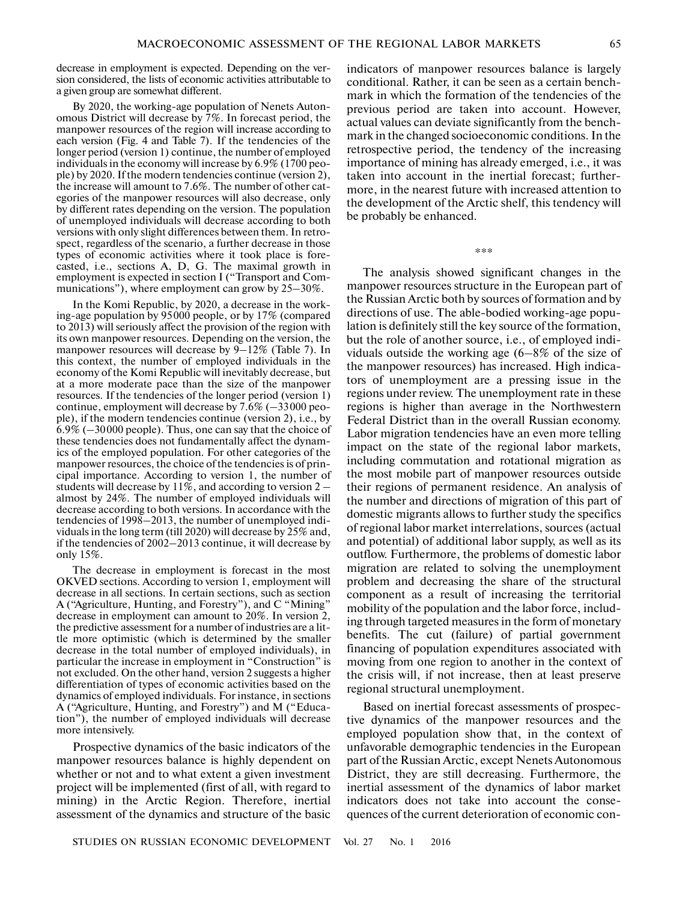decrease in employment is expected. Depending on the ver sion considered, the lists of economic activities attributable to a given group are somewhat different.

By 2020, the working-age population of Nenets Auton omous District will decrease by 7%. In forecast period, the manpower resources of the region will increase according to each version (Fig. 4 and Table 7). If the tendencies of the longer period (version 1) continue, the number of employed individuals in the economy will increase by 6.9% (1700 peo ple) by 2020. If the modern tendencies continue (version 2), the increase will amount to 7.6%. The number of other cat egories of the manpower resources will also decrease, only by different rates depending on the version. The population of unemployed individuals will decrease according to both versions with only slight differences between them. In retro spect, regardless of the scenario, a further decrease in those types of economic activities where it took place is fore casted, i.e., sections A, D, G. The maximal growth in employment is expected in section I ("Transport and Com munications"), where employment can grow by 25–30%.

In the Komi Republic, by 2020, a decrease in the work ing-age population by 95000 people, or by 17% (compared to 2013) will seriously affect the provision of the region with its own manpower resources. Depending on the version, the manpower resources will decrease by 9–12% (Table 7). In this context, the number of employed individuals in the economy of the Komi Republic will inevitably decrease, but at a more moderate pace than the size of the manpower resources. If the tendencies of the longer period (version 1) continue, employment will decrease by  $7.6\%$  ( $-33000$  people), if the modern tendencies continue (version 2), i.e., by 6.9% (–30000 people). Thus, one can say that the choice of these tendencies does not fundamentally affect the dynam ics of the employed population. For other categories of the manpower resources, the choice of the tendencies is of prin cipal importance. According to version 1, the number of students will decrease by  $11\%$ , and according to version  $2$ almost by 24%. The number of employed individuals will decrease according to both versions. In accordance with the tendencies of 1998–2013, the number of unemployed indi viduals in the long term (till 2020) will decrease by 25% and, if the tendencies of 2002–2013 continue, it will decrease by only 15%.

The decrease in employment is forecast in the most OKVED sections. According to version 1, employment will decrease in all sections. In certain sections, such as section A ("Agriculture, Hunting, and Forestry"), and C "Mining" decrease in employment can amount to 20%. In version 2, the predictive assessment for a number of industries are a lit tle more optimistic (which is determined by the smaller decrease in the total number of employed individuals), in particular the increase in employment in "Construction" is not excluded. On the other hand, version 2 suggests a higher differentiation of types of economic activities based on the dynamics of employed individuals. For instance, in sections A ("Agriculture, Hunting, and Forestry") and M ("Educa tion"), the number of employed individuals will decrease more intensively.

Prospective dynamics of the basic indicators of the manpower resources balance is highly dependent on whether or not and to what extent a given investment project will be implemented (first of all, with regard to mining) in the Arctic Region. Therefore, inertial assessment of the dynamics and structure of the basic

indicators of manpower resources balance is largely conditional. Rather, it can be seen as a certain bench mark in which the formation of the tendencies of the previous period are taken into account. However, actual values can deviate significantly from the bench mark in the changed socioeconomic conditions. In the retrospective period, the tendency of the increasing importance of mining has already emerged, i.e., it was taken into account in the inertial forecast; further more, in the nearest future with increased attention to the development of the Arctic shelf, this tendency will be probably be enhanced.

\*\*\*

The analysis showed significant changes in the manpower resources structure in the European part of the Russian Arctic both by sources of formation and by directions of use. The able-bodied working-age popu lation is definitely still the key source of the formation, but the role of another source, i.e., of employed indi viduals outside the working age (6–8% of the size of the manpower resources) has increased. High indica tors of unemployment are a pressing issue in the regions under review. The unemployment rate in these regions is higher than average in the Northwestern Federal District than in the overall Russian economy. Labor migration tendencies have an even more telling impact on the state of the regional labor markets, including commutation and rotational migration as the most mobile part of manpower resources outside their regions of permanent residence. An analysis of the number and directions of migration of this part of domestic migrants allows to further study the specifics of regional labor market interrelations, sources (actual and potential) of additional labor supply, as well as its outflow. Furthermore, the problems of domestic labor migration are related to solving the unemployment problem and decreasing the share of the structural component as a result of increasing the territorial mobility of the population and the labor force, includ ing through targeted measures in the form of monetary benefits. The cut (failure) of partial government financing of population expenditures associated with moving from one region to another in the context of the crisis will, if not increase, then at least preserve regional structural unemployment.

Based on inertial forecast assessments of prospec tive dynamics of the manpower resources and the employed population show that, in the context of unfavorable demographic tendencies in the European part of the Russian Arctic, except Nenets Autonomous District, they are still decreasing. Furthermore, the inertial assessment of the dynamics of labor market indicators does not take into account the conse quences of the current deterioration of economic con-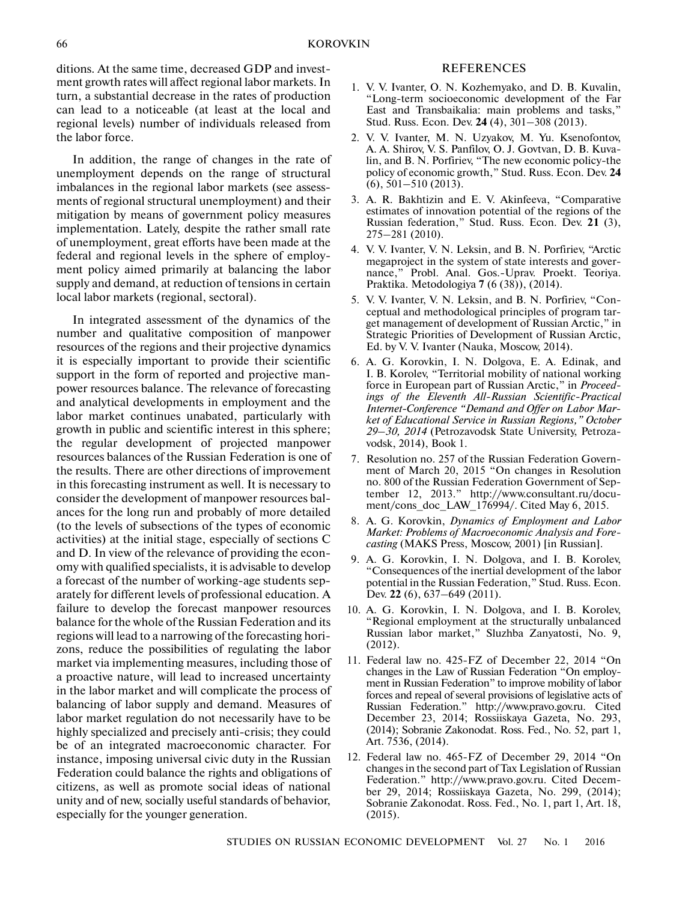ditions. At the same time, decreased GDP and invest ment growth rates will affect regional labor markets. In turn, a substantial decrease in the rates of production can lead to a noticeable (at least at the local and regional levels) number of individuals released from the labor force.

In addition, the range of changes in the rate of unemployment depends on the range of structural imbalances in the regional labor markets (see assess ments of regional structural unemployment) and their mitigation by means of government policy measures implementation. Lately, despite the rather small rate of unemployment, great efforts have been made at the federal and regional levels in the sphere of employ ment policy aimed primarily at balancing the labor supply and demand, at reduction of tensions in certain local labor markets (regional, sectoral).

In integrated assessment of the dynamics of the number and qualitative composition of manpower resources of the regions and their projective dynamics it is especially important to provide their scientific support in the form of reported and projective man power resources balance. The relevance of forecasting and analytical developments in employment and the labor market continues unabated, particularly with growth in public and scientific interest in this sphere; the regular development of projected manpower resources balances of the Russian Federation is one of the results. There are other directions of improvement in this forecasting instrument as well. It is necessary to consider the development of manpower resources bal ances for the long run and probably of more detailed (to the levels of subsections of the types of economic activities) at the initial stage, especially of sections C and D. In view of the relevance of providing the econ omy with qualified specialists, it is advisable to develop a forecast of the number of working-age students sep arately for different levels of professional education. A failure to develop the forecast manpower resources balance for the whole of the Russian Federation and its regions will lead to a narrowing of the forecasting hori zons, reduce the possibilities of regulating the labor market via implementing measures, including those of a proactive nature, will lead to increased uncertainty in the labor market and will complicate the process of balancing of labor supply and demand. Measures of labor market regulation do not necessarily have to be highly specialized and precisely anti-crisis; they could be of an integrated macroeconomic character. For instance, imposing universal civic duty in the Russian Federation could balance the rights and obligations of citizens, as well as promote social ideas of national unity and of new, socially useful standards of behavior, especially for the younger generation.

## REFERENCES

- 1. V. V. Ivanter, O. N. Kozhemyako, and D. B. Kuvalin, "Long-term socioeconomic development of the Far East and Transbaikalia: main problems and tasks," Stud. Russ. Econ. Dev. **24** (4), 301–308 (2013).
- 2. V. V. Ivanter, M. N. Uzyakov, M. Yu. Ksenofontov, A. A. Shirov, V. S. Panfilov, O. J. Govtvan, D. B. Kuva lin, and B. N. Porfiriev, "The new economic policy-the policy of economic growth," Stud. Russ. Econ. Dev. **24** (6), 501–510 (2013).
- 3. A. R. Bakhtizin and E. V. Akinfeeva, "Comparative estimates of innovation potential of the regions of the Russian federation," Stud. Russ. Econ. Dev. **21** (3), 275–281 (2010).
- 4. V. V. Ivanter, V. N. Leksin, and B. N. Porfiriev, "Arctic megaproject in the system of state interests and gover nance," Probl. Anal. Gos.-Uprav. Proekt. Teoriya. Praktika. Metodologiya **7** (6 (38)), (2014).
- 5. V. V. Ivanter, V. N. Leksin, and B. N. Porfiriev, "Con ceptual and methodological principles of program tar get management of development of Russian Arctic," in Strategic Priorities of Development of Russian Arctic, Ed. by V. V. Ivanter (Nauka, Moscow, 2014).
- 6. A. G. Korovkin, I. N. Dolgova, E. A. Edinak, and I. B. Korolev, "Territorial mobility of national working force in European part of Russian Arctic," in *Proceed ings of the Eleventh All-Russian Scientific-Practical Internet-Conference "Demand and Offer on Labor Mar ket of Educational Service in Russian Regions," October 29–30, 2014* (Petrozavodsk State University, Petroza vodsk, 2014), Book 1.
- 7. Resolution no. 257 of the Russian Federation Govern ment of March 20, 2015 "On changes in Resolution no. 800 of the Russian Federation Government of Sep tember 12, 2013." http://www.consultant.ru/docu ment/cons\_doc\_LAW\_176994/. Cited May 6, 2015.
- 8. A. G. Korovkin, *Dynamics of Employment and Labor Market: Problems of Macroeconomic Analysis and Fore casting* (MAKS Press, Moscow, 2001) [in Russian].
- 9. A. G. Korovkin, I. N. Dolgova, and I. B. Korolev, "Consequences of the inertial development of the labor potential in the Russian Federation," Stud. Russ. Econ. Dev. **22** (6), 637–649 (2011).
- 10. A. G. Korovkin, I. N. Dolgova, and I. B. Korolev, "Regional employment at the structurally unbalanced Russian labor market," Sluzhba Zanyatosti, No. 9, (2012).
- 11. Federal law no. 425-FZ of December 22, 2014 "On changes in the Law of Russian Federation "On employ ment in Russian Federation" to improve mobility of labor forces and repeal of several provisions of legislative acts of Russian Federation." http://www.pravo.gov.ru. Cited December 23, 2014; Rossiiskaya Gazeta, No. 293, (2014); Sobranie Zakonodat. Ross. Fed., No. 52, part 1, Art. 7536, (2014).
- 12. Federal law no. 465-FZ of December 29, 2014 "On changes in the second part of Tax Legislation of Russian Federation." http://www.pravo.gov.ru. Cited Decem ber 29, 2014; Rossiiskaya Gazeta, No. 299, (2014); Sobranie Zakonodat. Ross. Fed., No. 1, part 1, Art. 18, (2015).